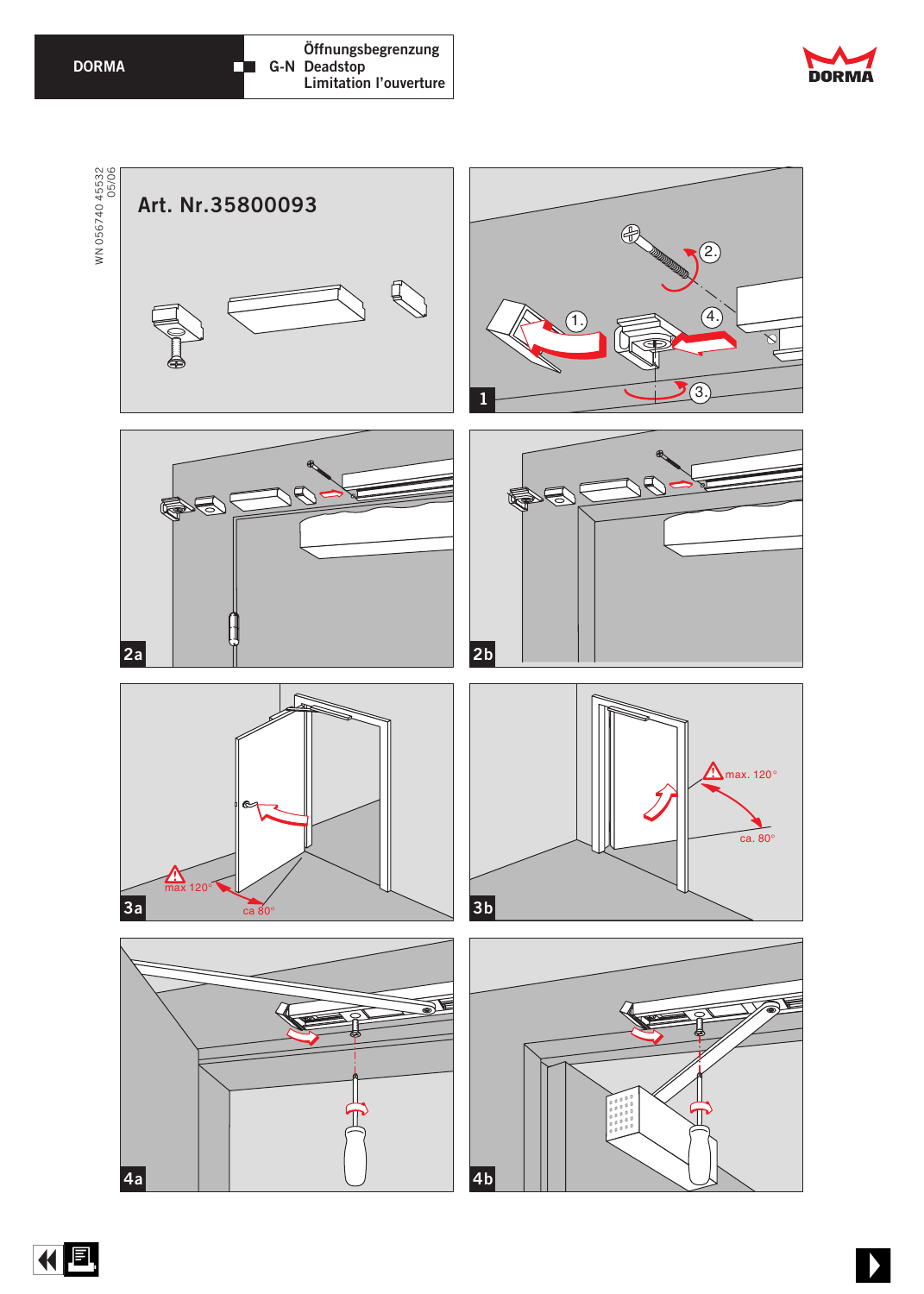## **DORMA**







化回